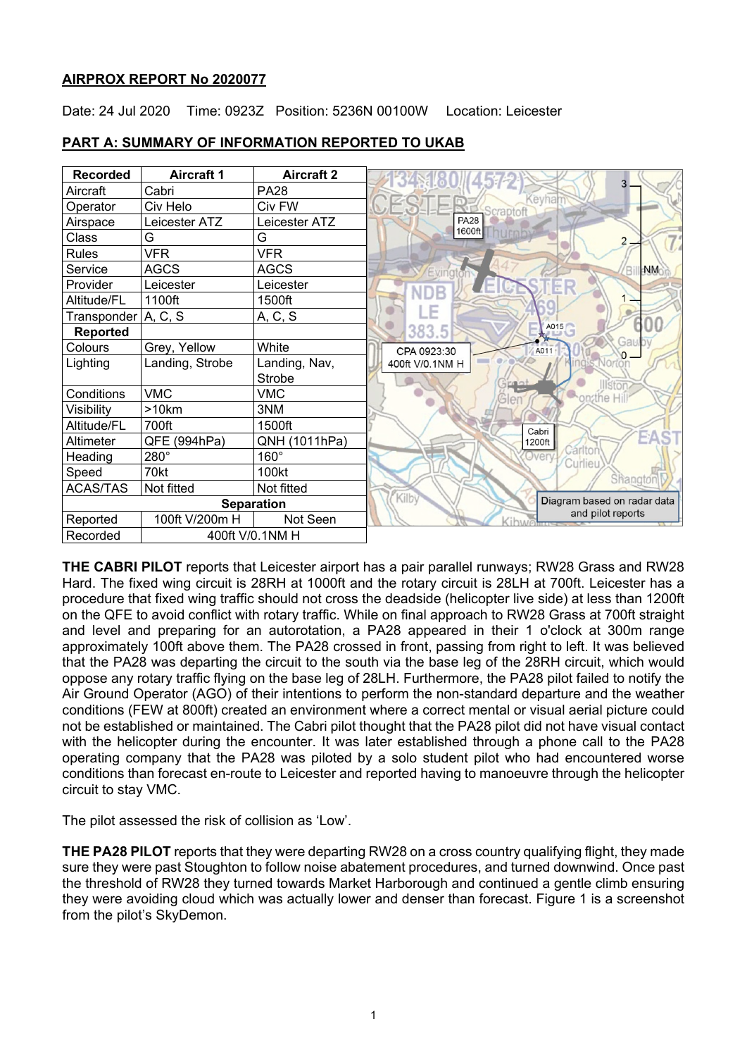### **AIRPROX REPORT No 2020077**

Date: 24 Jul 2020 Time: 0923Z Position: 5236N 00100W Location: Leicester

| <b>Recorded</b>             | <b>Aircraft 1</b> | <b>Aircraft 2</b> |                                                |
|-----------------------------|-------------------|-------------------|------------------------------------------------|
| Aircraft                    | Cabri             | PA28              |                                                |
| Operator                    | Civ Helo          | Civ FW            | Kevha                                          |
| Airspace                    | Leicester ATZ     | Leicester ATZ     | <b>PA28</b>                                    |
| Class                       | G                 | G                 | 1600ft                                         |
| <b>Rules</b>                | <b>VFR</b>        | <b>VFR</b>        |                                                |
| Service                     | <b>AGCS</b>       | <b>AGCS</b>       | NM<br>Bi<br>Evington                           |
| Provider                    | Leicester         | Leicester         | ER<br>JDB                                      |
| Altitude/FL                 | 1100ft            | 1500ft            |                                                |
| Transponder A, C, S         |                   | A, C, S           |                                                |
| <b>Reported</b>             |                   |                   | A015<br>383.5                                  |
| Colours                     | Grey, Yellow      | White             | Gau<br>CPA 0923:30<br>A011<br>$\overline{0}$ – |
| Lighting                    | Landing, Strobe   | Landing, Nav,     | 400ft V/0.1NM H                                |
|                             |                   | Strobe            | <b>Illston</b>                                 |
| Conditions                  | <b>VMC</b>        | <b>VMC</b>        | on the Hill<br>Gler                            |
| Visibility                  | >10km             | 3NM               |                                                |
| Altitude/FL                 | 700ft             | 1500ft            | Cabri                                          |
| Altimeter                   | QFE (994hPa)      | QNH (1011hPa)     | EΔ<br>1200ft                                   |
| Heading                     | 280°              | 160°              | Carltor<br>Overy.<br>Curlieu                   |
| Speed                       | 70kt              | 100kt             | Shangton                                       |
| <b>ACAS/TAS</b>             | Not fitted        | Not fitted        |                                                |
| <b>Separation</b>           |                   |                   | Kilby<br>Diagram based on radar data           |
| Reported                    | 100ft V/200m H    | Not Seen          | and pilot reports                              |
| 400ft V/0.1NM H<br>Recorded |                   |                   |                                                |

### **PART A: SUMMARY OF INFORMATION REPORTED TO UKAB**

**THE CABRI PILOT** reports that Leicester airport has a pair parallel runways; RW28 Grass and RW28 Hard. The fixed wing circuit is 28RH at 1000ft and the rotary circuit is 28LH at 700ft. Leicester has a procedure that fixed wing traffic should not cross the deadside (helicopter live side) at less than 1200ft on the QFE to avoid conflict with rotary traffic. While on final approach to RW28 Grass at 700ft straight and level and preparing for an autorotation, a PA28 appeared in their 1 o'clock at 300m range approximately 100ft above them. The PA28 crossed in front, passing from right to left. It was believed that the PA28 was departing the circuit to the south via the base leg of the 28RH circuit, which would oppose any rotary traffic flying on the base leg of 28LH. Furthermore, the PA28 pilot failed to notify the Air Ground Operator (AGO) of their intentions to perform the non-standard departure and the weather conditions (FEW at 800ft) created an environment where a correct mental or visual aerial picture could not be established or maintained. The Cabri pilot thought that the PA28 pilot did not have visual contact with the helicopter during the encounter. It was later established through a phone call to the PA28 operating company that the PA28 was piloted by a solo student pilot who had encountered worse conditions than forecast en-route to Leicester and reported having to manoeuvre through the helicopter circuit to stay VMC.

The pilot assessed the risk of collision as 'Low'.

**THE PA28 PILOT** reports that they were departing RW28 on a cross country qualifying flight, they made sure they were past Stoughton to follow noise abatement procedures, and turned downwind. Once past the threshold of RW28 they turned towards Market Harborough and continued a gentle climb ensuring they were avoiding cloud which was actually lower and denser than forecast. Figure 1 is a screenshot from the pilot's SkyDemon.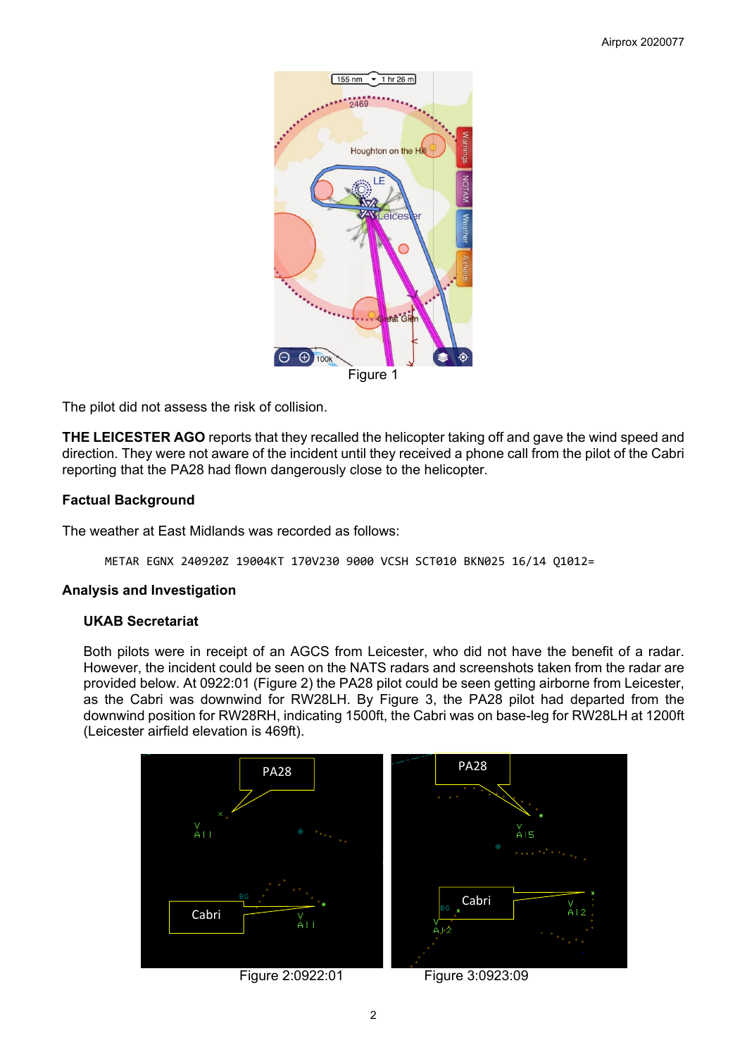

The pilot did not assess the risk of collision.

**THE LEICESTER AGO** reports that they recalled the helicopter taking off and gave the wind speed and direction. They were not aware of the incident until they received a phone call from the pilot of the Cabri reporting that the PA28 had flown dangerously close to the helicopter.

# **Factual Background**

The weather at East Midlands was recorded as follows:

METAR EGNX 240920Z 19004KT 170V230 9000 VCSH SCT010 BKN025 16/14 Q1012=

### **Analysis and Investigation**

### **UKAB Secretariat**

Both pilots were in receipt of an AGCS from Leicester, who did not have the benefit of a radar. However, the incident could be seen on the NATS radars and screenshots taken from the radar are provided below. At 0922:01 (Figure 2) the PA28 pilot could be seen getting airborne from Leicester, as the Cabri was downwind for RW28LH. By Figure 3, the PA28 pilot had departed from the downwind position for RW28RH, indicating 1500ft, the Cabri was on base-leg for RW28LH at 1200ft (Leicester airfield elevation is 469ft).

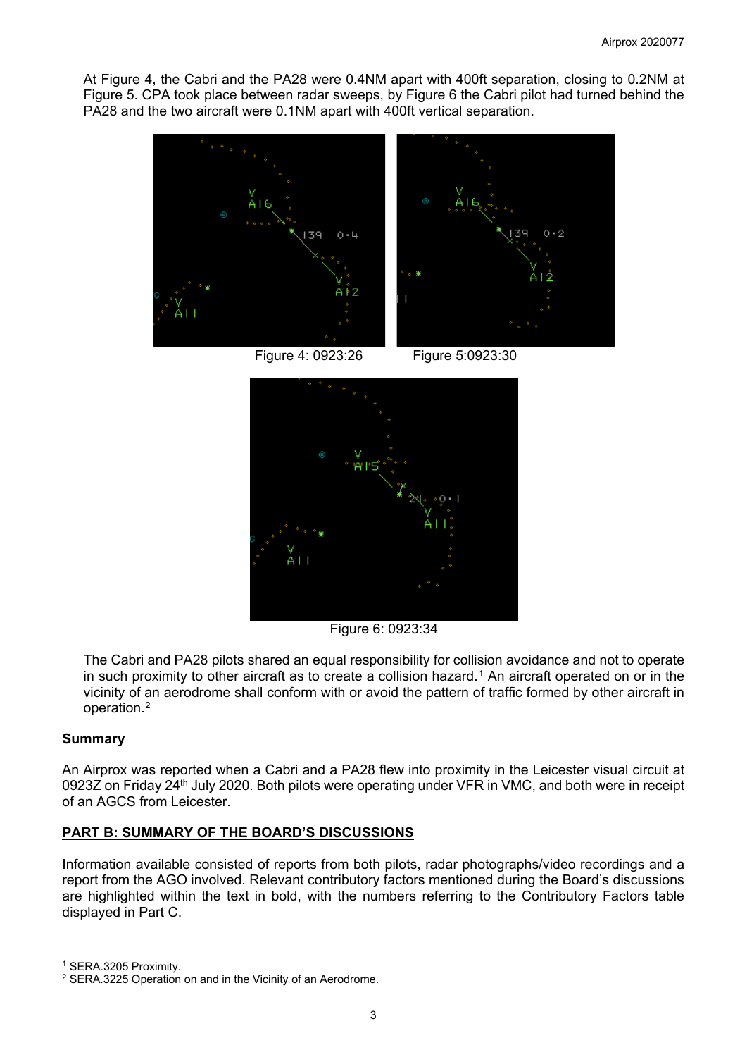At Figure 4, the Cabri and the PA28 were 0.4NM apart with 400ft separation, closing to 0.2NM at Figure 5. CPA took place between radar sweeps, by Figure 6 the Cabri pilot had turned behind the PA28 and the two aircraft were 0.1NM apart with 400ft vertical separation.



Figure 6: 0923:34

The Cabri and PA28 pilots shared an equal responsibility for collision avoidance and not to operate in such proximity to other aircraft as to create a collision hazard.<sup>[1](#page-2-0)</sup> An aircraft operated on or in the vicinity of an aerodrome shall conform with or avoid the pattern of traffic formed by other aircraft in operation.[2](#page-2-1)

### **Summary**

An Airprox was reported when a Cabri and a PA28 flew into proximity in the Leicester visual circuit at 0923Z on Friday 24<sup>th</sup> July 2020. Both pilots were operating under VFR in VMC, and both were in receipt of an AGCS from Leicester.

### **PART B: SUMMARY OF THE BOARD'S DISCUSSIONS**

Information available consisted of reports from both pilots, radar photographs/video recordings and a report from the AGO involved. Relevant contributory factors mentioned during the Board's discussions are highlighted within the text in bold, with the numbers referring to the Contributory Factors table displayed in Part C.

<span id="page-2-0"></span><sup>1</sup> SERA.3205 Proximity.

<span id="page-2-1"></span><sup>2</sup> SERA.3225 Operation on and in the Vicinity of an Aerodrome.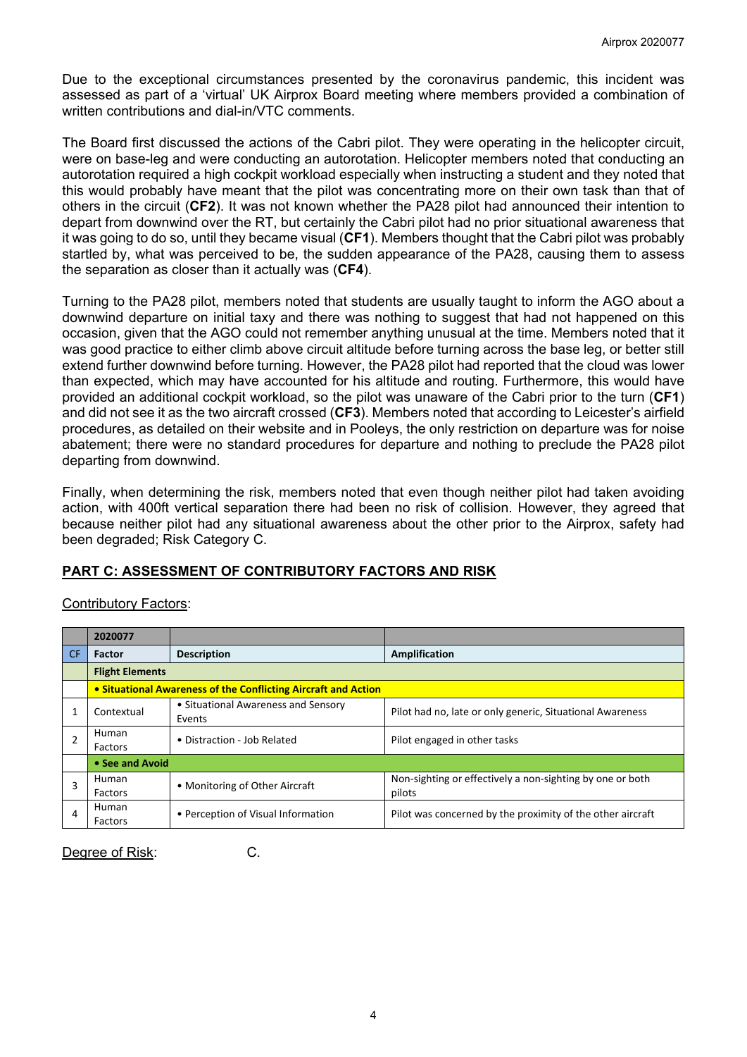Due to the exceptional circumstances presented by the coronavirus pandemic, this incident was assessed as part of a 'virtual' UK Airprox Board meeting where members provided a combination of written contributions and dial-in/VTC comments.

The Board first discussed the actions of the Cabri pilot. They were operating in the helicopter circuit, were on base-leg and were conducting an autorotation. Helicopter members noted that conducting an autorotation required a high cockpit workload especially when instructing a student and they noted that this would probably have meant that the pilot was concentrating more on their own task than that of others in the circuit (**CF2**). It was not known whether the PA28 pilot had announced their intention to depart from downwind over the RT, but certainly the Cabri pilot had no prior situational awareness that it was going to do so, until they became visual (**CF1**). Members thought that the Cabri pilot was probably startled by, what was perceived to be, the sudden appearance of the PA28, causing them to assess the separation as closer than it actually was (**CF4**).

Turning to the PA28 pilot, members noted that students are usually taught to inform the AGO about a downwind departure on initial taxy and there was nothing to suggest that had not happened on this occasion, given that the AGO could not remember anything unusual at the time. Members noted that it was good practice to either climb above circuit altitude before turning across the base leg, or better still extend further downwind before turning. However, the PA28 pilot had reported that the cloud was lower than expected, which may have accounted for his altitude and routing. Furthermore, this would have provided an additional cockpit workload, so the pilot was unaware of the Cabri prior to the turn (**CF1**) and did not see it as the two aircraft crossed (**CF3**). Members noted that according to Leicester's airfield procedures, as detailed on their website and in Pooleys, the only restriction on departure was for noise abatement; there were no standard procedures for departure and nothing to preclude the PA28 pilot departing from downwind.

Finally, when determining the risk, members noted that even though neither pilot had taken avoiding action, with 400ft vertical separation there had been no risk of collision. However, they agreed that because neither pilot had any situational awareness about the other prior to the Airprox, safety had been degraded; Risk Category C.

# **PART C: ASSESSMENT OF CONTRIBUTORY FACTORS AND RISK**

|           | 2020077                                                        |                                               |                                                                     |  |  |  |  |  |  |
|-----------|----------------------------------------------------------------|-----------------------------------------------|---------------------------------------------------------------------|--|--|--|--|--|--|
| <b>CF</b> | <b>Factor</b>                                                  | <b>Description</b>                            | <b>Amplification</b>                                                |  |  |  |  |  |  |
|           | <b>Flight Elements</b>                                         |                                               |                                                                     |  |  |  |  |  |  |
|           | • Situational Awareness of the Conflicting Aircraft and Action |                                               |                                                                     |  |  |  |  |  |  |
|           | Contextual                                                     | • Situational Awareness and Sensory<br>Events | Pilot had no, late or only generic, Situational Awareness           |  |  |  |  |  |  |
|           | Human<br>Factors                                               | • Distraction - Job Related                   | Pilot engaged in other tasks                                        |  |  |  |  |  |  |
|           | • See and Avoid                                                |                                               |                                                                     |  |  |  |  |  |  |
| 3         | Human<br>Factors                                               | • Monitoring of Other Aircraft                | Non-sighting or effectively a non-sighting by one or both<br>pilots |  |  |  |  |  |  |
| 4         | Human<br>Factors                                               | • Perception of Visual Information            | Pilot was concerned by the proximity of the other aircraft          |  |  |  |  |  |  |

# Contributory Factors:

Degree of Risk: C.